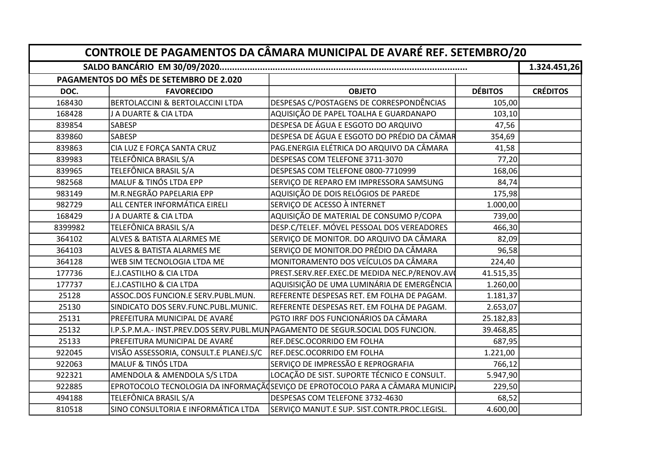| CONTROLE DE PAGAMENTOS DA CÂMARA MUNICIPAL DE AVARÉ REF. SETEMBRO/20 |                                        |                                                                                 |                |                 |  |
|----------------------------------------------------------------------|----------------------------------------|---------------------------------------------------------------------------------|----------------|-----------------|--|
|                                                                      | PAGAMENTOS DO MÊS DE SETEMBRO DE 2.020 |                                                                                 |                | 1.324.451,26    |  |
| DOC.                                                                 | <b>FAVORECIDO</b>                      | <b>OBJETO</b>                                                                   | <b>DÉBITOS</b> | <b>CRÉDITOS</b> |  |
| 168430                                                               | BERTOLACCINI & BERTOLACCINI LTDA       | DESPESAS C/POSTAGENS DE CORRESPONDÊNCIAS                                        | 105,00         |                 |  |
| 168428                                                               | J A DUARTE & CIA LTDA                  | AQUISIÇÃO DE PAPEL TOALHA E GUARDANAPO                                          | 103,10         |                 |  |
| 839854                                                               | SABESP                                 | DESPESA DE ÁGUA E ESGOTO DO ARQUIVO                                             | 47,56          |                 |  |
| 839860                                                               | <b>SABESP</b>                          | DESPESA DE ÁGUA E ESGOTO DO PRÉDIO DA CÂMAR                                     | 354,69         |                 |  |
| 839863                                                               | CIA LUZ E FORÇA SANTA CRUZ             | PAG.ENERGIA ELÉTRICA DO ARQUIVO DA CÂMARA                                       | 41,58          |                 |  |
| 839983                                                               | TELEFÔNICA BRASIL S/A                  | DESPESAS COM TELEFONE 3711-3070                                                 | 77,20          |                 |  |
| 839965                                                               | TELEFÔNICA BRASIL S/A                  | DESPESAS COM TELEFONE 0800-7710999                                              | 168,06         |                 |  |
| 982568                                                               | MALUF & TINÓS LTDA EPP                 | SERVIÇO DE REPARO EM IMPRESSORA SAMSUNG                                         | 84,74          |                 |  |
| 983149                                                               | M.R.NEGRÃO PAPELARIA EPP               | AQUISIÇÃO DE DOIS RELÓGIOS DE PAREDE                                            | 175,98         |                 |  |
| 982729                                                               | ALL CENTER INFORMÁTICA EIRELI          | SERVIÇO DE ACESSO À INTERNET                                                    | 1.000,00       |                 |  |
| 168429                                                               | J A DUARTE & CIA LTDA                  | AQUISIÇÃO DE MATERIAL DE CONSUMO P/COPA                                         | 739,00         |                 |  |
| 8399982                                                              | TELEFÔNICA BRASIL S/A                  | DESP.C/TELEF. MÓVEL PESSOAL DOS VEREADORES                                      | 466,30         |                 |  |
| 364102                                                               | ALVES & BATISTA ALARMES ME             | SERVIÇO DE MONITOR. DO ARQUIVO DA CÂMARA                                        | 82,09          |                 |  |
| 364103                                                               | ALVES & BATISTA ALARMES ME             | SERVIÇO DE MONITOR.DO PRÉDIO DA CÂMARA                                          | 96,58          |                 |  |
| 364128                                                               | WEB SIM TECNOLOGIA LTDA ME             | MONITORAMENTO DOS VEÍCULOS DA CÂMARA                                            | 224,40         |                 |  |
| 177736                                                               | E.J.CASTILHO & CIA LTDA                | PREST.SERV.REF.EXEC.DE MEDIDA NEC.P/RENOV.AV                                    | 41.515,35      |                 |  |
| 177737                                                               | E.J.CASTILHO & CIA LTDA                | AQUISISIÇÃO DE UMA LUMINÁRIA DE EMERGÊNCIA                                      | 1.260,00       |                 |  |
| 25128                                                                | ASSOC.DOS FUNCION.E SERV.PUBL.MUN.     | REFERENTE DESPESAS RET. EM FOLHA DE PAGAM.                                      | 1.181,37       |                 |  |
| 25130                                                                | SINDICATO DOS SERV.FUNC.PUBL.MUNIC.    | REFERENTE DESPESAS RET. EM FOLHA DE PAGAM.                                      | 2.653,07       |                 |  |
| 25131                                                                | PREFEITURA MUNICIPAL DE AVARÉ          | PGTO IRRF DOS FUNCIONÁRIOS DA CÂMARA                                            | 25.182,83      |                 |  |
| 25132                                                                |                                        | I.P.S.P.M.A.- INST.PREV.DOS SERV.PUBL.MUNPAGAMENTO DE SEGUR.SOCIAL DOS FUNCION. | 39.468,85      |                 |  |
| 25133                                                                | PREFEITURA MUNICIPAL DE AVARÉ          | REF.DESC.OCORRIDO EM FOLHA                                                      | 687,95         |                 |  |
| 922045                                                               | VISÃO ASSESSORIA, CONSULT.E PLANEJ.S/C | REF.DESC.OCORRIDO EM FOLHA                                                      | 1.221,00       |                 |  |
| 922063                                                               | <b>MALUF &amp; TINÓS LTDA</b>          | SERVIÇO DE IMPRESSÃO E REPROGRAFIA                                              | 766,12         |                 |  |
| 922321                                                               | AMENDOLA & AMENDOLA S/S LTDA           | LOCAÇÃO DE SIST. SUPORTE TÉCNICO E CONSULT.                                     | 5.947,90       |                 |  |
| 922885                                                               |                                        | EPROTOCOLO TECNOLOGIA DA INFORMAÇÃ (SEVIÇO DE EPROTOCOLO PARA A CÂMARA MUNICIP. | 229,50         |                 |  |
| 494188                                                               | TELEFÔNICA BRASIL S/A                  | DESPESAS COM TELEFONE 3732-4630                                                 | 68,52          |                 |  |
| 810518                                                               | SINO CONSULTORIA E INFORMÁTICA LTDA    | SERVIÇO MANUT.E SUP. SIST.CONTR.PROC.LEGISL.                                    | 4.600,00       |                 |  |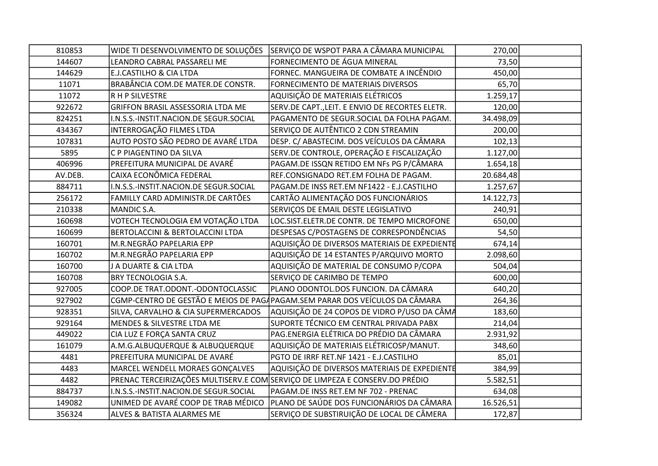| 810853  |                                        | WIDE TI DESENVOLVIMENTO DE SOLUÇÕES SERVIÇO DE WSPOT PARA A CÂMARA MUNICIPAL | 270,00    |  |
|---------|----------------------------------------|------------------------------------------------------------------------------|-----------|--|
| 144607  | LEANDRO CABRAL PASSARELI ME            | FORNECIMENTO DE ÁGUA MINERAL                                                 | 73,50     |  |
| 144629  | E.J.CASTILHO & CIA LTDA                | FORNEC. MANGUEIRA DE COMBATE A INCÊNDIO                                      | 450,00    |  |
| 11071   | BRABÂNCIA COM.DE MATER.DE CONSTR.      | FORNECIMENTO DE MATERIAIS DIVERSOS                                           | 65,70     |  |
| 11072   | R H P SILVESTRE                        | AQUISIÇÃO DE MATERIAIS ELÉTRICOS                                             | 1.259,17  |  |
| 922672  | GRIFFON BRASIL ASSESSORIA LTDA ME      | SERV.DE CAPT., LEIT. E ENVIO DE RECORTES ELETR.                              | 120,00    |  |
| 824251  | I.N.S.S.-INSTIT.NACION.DE SEGUR.SOCIAL | PAGAMENTO DE SEGUR.SOCIAL DA FOLHA PAGAM.                                    | 34.498,09 |  |
| 434367  | INTERROGAÇÃO FILMES LTDA               | SERVIÇO DE AUTÊNTICO 2 CDN STREAMIN                                          | 200,00    |  |
| 107831  | AUTO POSTO SÃO PEDRO DE AVARÉ LTDA     | DESP. C/ ABASTECIM. DOS VEÍCULOS DA CÂMARA                                   | 102,13    |  |
| 5895    | C P PIAGENTINO DA SILVA                | SERV.DE CONTROLE, OPERAÇÃO E FISCALIZAÇÃO                                    | 1.127,00  |  |
| 406996  | PREFEITURA MUNICIPAL DE AVARÉ          | PAGAM.DE ISSQN RETIDO EM NFs PG P/CÂMARA                                     | 1.654,18  |  |
| AV.DEB. | CAIXA ECONÔMICA FEDERAL                | REF.CONSIGNADO RET.EM FOLHA DE PAGAM.                                        | 20.684,48 |  |
| 884711  | I.N.S.S.-INSTIT.NACION.DE SEGUR.SOCIAL | PAGAM.DE INSS RET.EM NF1422 - E.J.CASTILHO                                   | 1.257,67  |  |
| 256172  | FAMILLY CARD ADMINISTR.DE CARTÕES      | CARTÃO ALIMENTAÇÃO DOS FUNCIONÁRIOS                                          | 14.122,73 |  |
| 210338  | MANDIC S.A.                            | SERVIÇOS DE EMAIL DESTE LEGISLATIVO                                          | 240,91    |  |
| 160698  | VOTECH TECNOLOGIA EM VOTAÇÃO LTDA      | LOC.SIST.ELETR.DE CONTR. DE TEMPO MICROFONE                                  | 650,00    |  |
| 160699  | BERTOLACCINI & BERTOLACCINI LTDA       | DESPESAS C/POSTAGENS DE CORRESPONDÊNCIAS                                     | 54,50     |  |
| 160701  | M.R.NEGRÃO PAPELARIA EPP               | AQUISIÇÃO DE DIVERSOS MATERIAIS DE EXPEDIENTE                                | 674,14    |  |
| 160702  | M.R.NEGRÃO PAPELARIA EPP               | AQUISIÇÃO DE 14 ESTANTES P/ARQUIVO MORTO                                     | 2.098,60  |  |
| 160700  | J A DUARTE & CIA LTDA                  | AQUISIÇÃO DE MATERIAL DE CONSUMO P/COPA                                      | 504,04    |  |
| 160708  | <b>BRY TECNOLOGIA S.A.</b>             | SERVIÇO DE CARIMBO DE TEMPO                                                  | 600,00    |  |
| 927005  | COOP.DE TRAT.ODONT.-ODONTOCLASSIC      | PLANO ODONTOL.DOS FUNCION. DA CÂMARA                                         | 640,20    |  |
| 927902  |                                        | CGMP-CENTRO DE GESTÃO E MEIOS DE PAGAPAGAM.SEM PARAR DOS VEÍCULOS DA CÂMARA  | 264,36    |  |
| 928351  | SILVA, CARVALHO & CIA SUPERMERCADOS    | AQUISIÇÃO DE 24 COPOS DE VIDRO P/USO DA CÂMA                                 | 183,60    |  |
| 929164  | MENDES & SILVESTRE LTDA ME             | SUPORTE TÉCNICO EM CENTRAL PRIVADA PABX                                      | 214,04    |  |
| 449022  | CIA LUZ E FORÇA SANTA CRUZ             | PAG.ENERGIA ELÉTRICA DO PRÉDIO DA CÂMARA                                     | 2.931,92  |  |
| 161079  | A.M.G.ALBUQUERQUE & ALBUQUERQUE        | AQUISIÇÃO DE MATERIAIS ELÉTRICOSP/MANUT.                                     | 348,60    |  |
| 4481    | PREFEITURA MUNICIPAL DE AVARÉ          | PGTO DE IRRF RET.NF 1421 - E.J.CASTILHO                                      | 85,01     |  |
| 4483    | MARCEL WENDELL MORAES GONÇALVES        | AQUISIÇÃO DE DIVERSOS MATERIAIS DE EXPEDIENTE                                | 384,99    |  |
| 4482    |                                        | PRENAC TERCEIRIZAÇÕES MULTISERV.E COM SERVIÇO DE LIMPEZA E CONSERV.DO PRÉDIO | 5.582,51  |  |
| 884737  | I.N.S.S.-INSTIT.NACION.DE SEGUR.SOCIAL | PAGAM.DE INSS RET.EM NF 702 - PRENAC                                         | 634,08    |  |
| 149082  | UNIMED DE AVARÉ COOP DE TRAB MÉDICO    | PLANO DE SAÚDE DOS FUNCIONÁRIOS DA CÂMARA                                    | 16.526,51 |  |
| 356324  | <b>ALVES &amp; BATISTA ALARMES ME</b>  | SERVIÇO DE SUBSTIRUIÇÃO DE LOCAL DE CÂMERA                                   | 172,87    |  |